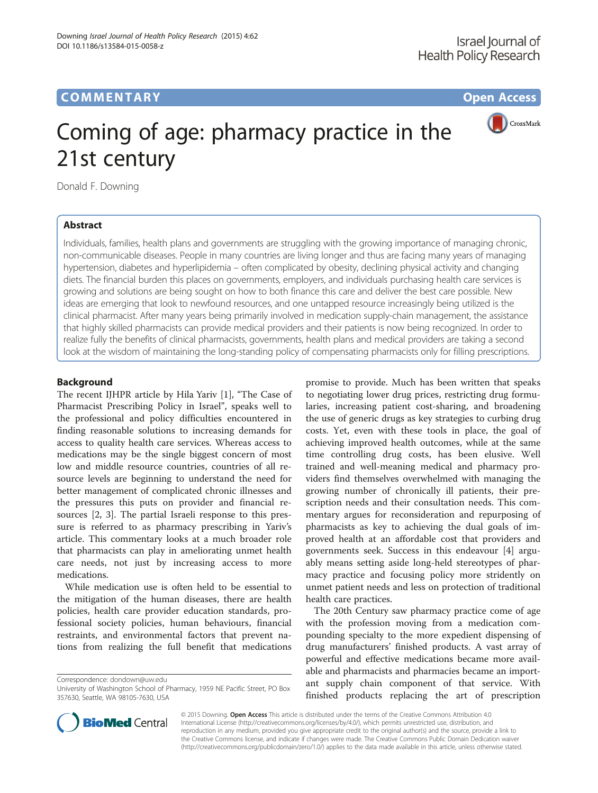CrossMark

# Coming of age: pharmacy practice in the 21st century

Donald F. Downing

## Abstract

Individuals, families, health plans and governments are struggling with the growing importance of managing chronic, non-communicable diseases. People in many countries are living longer and thus are facing many years of managing hypertension, diabetes and hyperlipidemia – often complicated by obesity, declining physical activity and changing diets. The financial burden this places on governments, employers, and individuals purchasing health care services is growing and solutions are being sought on how to both finance this care and deliver the best care possible. New ideas are emerging that look to newfound resources, and one untapped resource increasingly being utilized is the clinical pharmacist. After many years being primarily involved in medication supply-chain management, the assistance that highly skilled pharmacists can provide medical providers and their patients is now being recognized. In order to realize fully the benefits of clinical pharmacists, governments, health plans and medical providers are taking a second look at the wisdom of maintaining the long-standing policy of compensating pharmacists only for filling prescriptions.

## Background

The recent IJHPR article by Hila Yariv [[1\]](#page-2-0), "The Case of Pharmacist Prescribing Policy in Israel", speaks well to the professional and policy difficulties encountered in finding reasonable solutions to increasing demands for access to quality health care services. Whereas access to medications may be the single biggest concern of most low and middle resource countries, countries of all resource levels are beginning to understand the need for better management of complicated chronic illnesses and the pressures this puts on provider and financial resources [\[2](#page-2-0), [3](#page-2-0)]. The partial Israeli response to this pressure is referred to as pharmacy prescribing in Yariv's article. This commentary looks at a much broader role that pharmacists can play in ameliorating unmet health care needs, not just by increasing access to more medications.

While medication use is often held to be essential to the mitigation of the human diseases, there are health policies, health care provider education standards, professional society policies, human behaviours, financial restraints, and environmental factors that prevent nations from realizing the full benefit that medications

Correspondence: [dondown@uw.edu](mailto:dondown@uw.edu)

promise to provide. Much has been written that speaks to negotiating lower drug prices, restricting drug formularies, increasing patient cost-sharing, and broadening the use of generic drugs as key strategies to curbing drug costs. Yet, even with these tools in place, the goal of achieving improved health outcomes, while at the same time controlling drug costs, has been elusive. Well trained and well-meaning medical and pharmacy providers find themselves overwhelmed with managing the growing number of chronically ill patients, their prescription needs and their consultation needs. This commentary argues for reconsideration and repurposing of pharmacists as key to achieving the dual goals of improved health at an affordable cost that providers and governments seek. Success in this endeavour [\[4](#page-2-0)] arguably means setting aside long-held stereotypes of pharmacy practice and focusing policy more stridently on unmet patient needs and less on protection of traditional health care practices.

The 20th Century saw pharmacy practice come of age with the profession moving from a medication compounding specialty to the more expedient dispensing of drug manufacturers' finished products. A vast array of powerful and effective medications became more available and pharmacists and pharmacies became an important supply chain component of that service. With finished products replacing the art of prescription



© 2015 Downing. Open Access This article is distributed under the terms of the Creative Commons Attribution 4.0 International License [\(http://creativecommons.org/licenses/by/4.0/](http://creativecommons.org/licenses/by/4.0/)), which permits unrestricted use, distribution, and reproduction in any medium, provided you give appropriate credit to the original author(s) and the source, provide a link to the Creative Commons license, and indicate if changes were made. The Creative Commons Public Domain Dedication waiver [\(http://creativecommons.org/publicdomain/zero/1.0/](http://creativecommons.org/publicdomain/zero/1.0/)) applies to the data made available in this article, unless otherwise stated.

University of Washington School of Pharmacy, 1959 NE Pacific Street, PO Box 357630, Seattle, WA 98105-7630, USA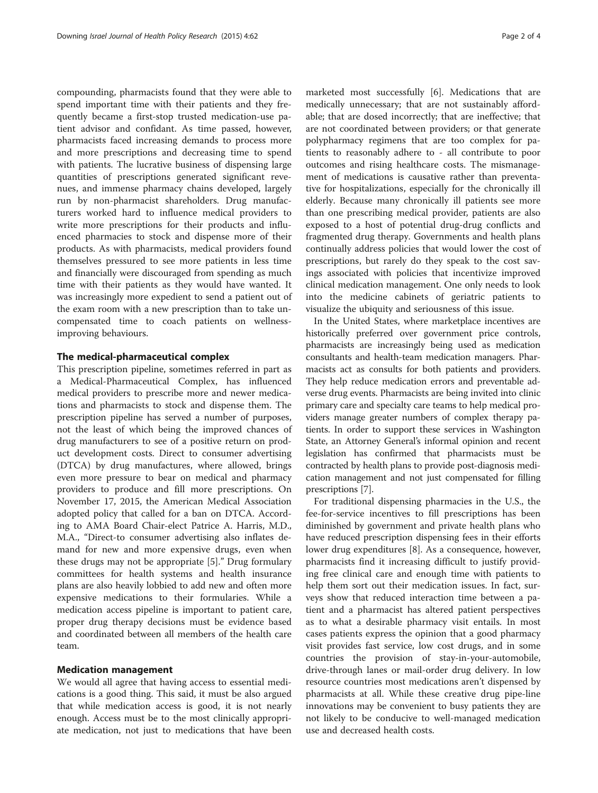compounding, pharmacists found that they were able to spend important time with their patients and they frequently became a first-stop trusted medication-use patient advisor and confidant. As time passed, however, pharmacists faced increasing demands to process more and more prescriptions and decreasing time to spend with patients. The lucrative business of dispensing large quantities of prescriptions generated significant revenues, and immense pharmacy chains developed, largely run by non-pharmacist shareholders. Drug manufacturers worked hard to influence medical providers to write more prescriptions for their products and influenced pharmacies to stock and dispense more of their products. As with pharmacists, medical providers found themselves pressured to see more patients in less time and financially were discouraged from spending as much time with their patients as they would have wanted. It was increasingly more expedient to send a patient out of the exam room with a new prescription than to take uncompensated time to coach patients on wellnessimproving behaviours.

## The medical-pharmaceutical complex

This prescription pipeline, sometimes referred in part as a Medical-Pharmaceutical Complex, has influenced medical providers to prescribe more and newer medications and pharmacists to stock and dispense them. The prescription pipeline has served a number of purposes, not the least of which being the improved chances of drug manufacturers to see of a positive return on product development costs. Direct to consumer advertising (DTCA) by drug manufactures, where allowed, brings even more pressure to bear on medical and pharmacy providers to produce and fill more prescriptions. On November 17, 2015, the American Medical Association adopted policy that called for a ban on DTCA. According to AMA Board Chair-elect Patrice A. Harris, M.D., M.A., "Direct-to consumer advertising also inflates demand for new and more expensive drugs, even when these drugs may not be appropriate [\[5](#page-2-0)]." Drug formulary committees for health systems and health insurance plans are also heavily lobbied to add new and often more expensive medications to their formularies. While a medication access pipeline is important to patient care, proper drug therapy decisions must be evidence based and coordinated between all members of the health care team.

## Medication management

We would all agree that having access to essential medications is a good thing. This said, it must be also argued that while medication access is good, it is not nearly enough. Access must be to the most clinically appropriate medication, not just to medications that have been

marketed most successfully [[6\]](#page-2-0). Medications that are medically unnecessary; that are not sustainably affordable; that are dosed incorrectly; that are ineffective; that are not coordinated between providers; or that generate polypharmacy regimens that are too complex for patients to reasonably adhere to - all contribute to poor outcomes and rising healthcare costs. The mismanagement of medications is causative rather than preventative for hospitalizations, especially for the chronically ill elderly. Because many chronically ill patients see more than one prescribing medical provider, patients are also exposed to a host of potential drug-drug conflicts and fragmented drug therapy. Governments and health plans continually address policies that would lower the cost of prescriptions, but rarely do they speak to the cost savings associated with policies that incentivize improved clinical medication management. One only needs to look into the medicine cabinets of geriatric patients to visualize the ubiquity and seriousness of this issue.

In the United States, where marketplace incentives are historically preferred over government price controls, pharmacists are increasingly being used as medication consultants and health-team medication managers. Pharmacists act as consults for both patients and providers. They help reduce medication errors and preventable adverse drug events. Pharmacists are being invited into clinic primary care and specialty care teams to help medical providers manage greater numbers of complex therapy patients. In order to support these services in Washington State, an Attorney General's informal opinion and recent legislation has confirmed that pharmacists must be contracted by health plans to provide post-diagnosis medication management and not just compensated for filling prescriptions [\[7](#page-3-0)].

For traditional dispensing pharmacies in the U.S., the fee-for-service incentives to fill prescriptions has been diminished by government and private health plans who have reduced prescription dispensing fees in their efforts lower drug expenditures [[8\]](#page-3-0). As a consequence, however, pharmacists find it increasing difficult to justify providing free clinical care and enough time with patients to help them sort out their medication issues. In fact, surveys show that reduced interaction time between a patient and a pharmacist has altered patient perspectives as to what a desirable pharmacy visit entails. In most cases patients express the opinion that a good pharmacy visit provides fast service, low cost drugs, and in some countries the provision of stay-in-your-automobile, drive-through lanes or mail-order drug delivery. In low resource countries most medications aren't dispensed by pharmacists at all. While these creative drug pipe-line innovations may be convenient to busy patients they are not likely to be conducive to well-managed medication use and decreased health costs.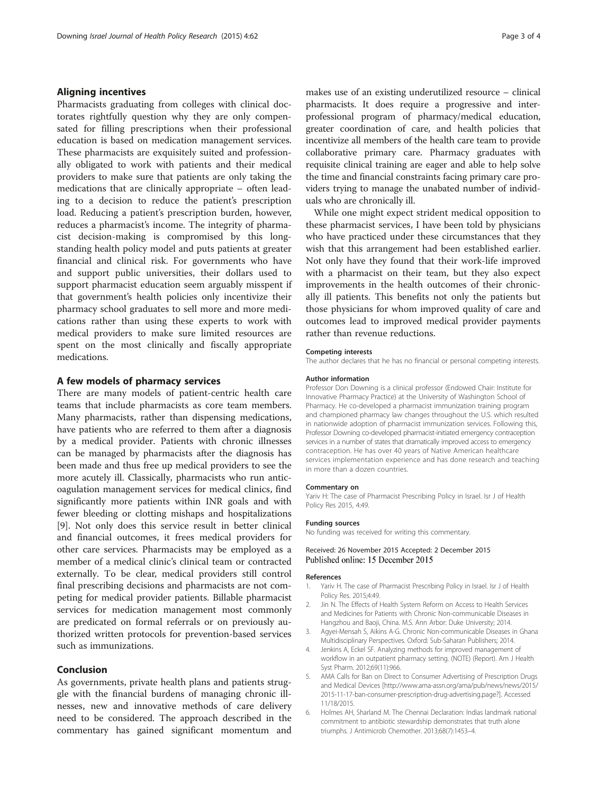## <span id="page-2-0"></span>Aligning incentives

Pharmacists graduating from colleges with clinical doctorates rightfully question why they are only compensated for filling prescriptions when their professional education is based on medication management services. These pharmacists are exquisitely suited and professionally obligated to work with patients and their medical providers to make sure that patients are only taking the medications that are clinically appropriate – often leading to a decision to reduce the patient's prescription load. Reducing a patient's prescription burden, however, reduces a pharmacist's income. The integrity of pharmacist decision-making is compromised by this longstanding health policy model and puts patients at greater financial and clinical risk. For governments who have and support public universities, their dollars used to support pharmacist education seem arguably misspent if that government's health policies only incentivize their pharmacy school graduates to sell more and more medications rather than using these experts to work with medical providers to make sure limited resources are spent on the most clinically and fiscally appropriate medications.

## A few models of pharmacy services

There are many models of patient-centric health care teams that include pharmacists as core team members. Many pharmacists, rather than dispensing medications, have patients who are referred to them after a diagnosis by a medical provider. Patients with chronic illnesses can be managed by pharmacists after the diagnosis has been made and thus free up medical providers to see the more acutely ill. Classically, pharmacists who run anticoagulation management services for medical clinics, find significantly more patients within INR goals and with fewer bleeding or clotting mishaps and hospitalizations [[9\]](#page-3-0). Not only does this service result in better clinical and financial outcomes, it frees medical providers for other care services. Pharmacists may be employed as a member of a medical clinic's clinical team or contracted externally. To be clear, medical providers still control final prescribing decisions and pharmacists are not competing for medical provider patients. Billable pharmacist services for medication management most commonly are predicated on formal referrals or on previously authorized written protocols for prevention-based services such as immunizations.

## Conclusion

As governments, private health plans and patients struggle with the financial burdens of managing chronic illnesses, new and innovative methods of care delivery need to be considered. The approach described in the commentary has gained significant momentum and makes use of an existing underutilized resource – clinical pharmacists. It does require a progressive and interprofessional program of pharmacy/medical education, greater coordination of care, and health policies that incentivize all members of the health care team to provide collaborative primary care. Pharmacy graduates with requisite clinical training are eager and able to help solve the time and financial constraints facing primary care providers trying to manage the unabated number of individuals who are chronically ill.

While one might expect strident medical opposition to these pharmacist services, I have been told by physicians who have practiced under these circumstances that they wish that this arrangement had been established earlier. Not only have they found that their work-life improved with a pharmacist on their team, but they also expect improvements in the health outcomes of their chronically ill patients. This benefits not only the patients but those physicians for whom improved quality of care and outcomes lead to improved medical provider payments rather than revenue reductions.

#### Competing interests

The author declares that he has no financial or personal competing interests.

#### Author information

Professor Don Downing is a clinical professor (Endowed Chair: Institute for Innovative Pharmacy Practice) at the University of Washington School of Pharmacy. He co-developed a pharmacist immunization training program and championed pharmacy law changes throughout the U.S. which resulted in nationwide adoption of pharmacist immunization services. Following this, Professor Downing co-developed pharmacist-initiated emergency contraception services in a number of states that dramatically improved access to emergency contraception. He has over 40 years of Native American healthcare services implementation experience and has done research and teaching in more than a dozen countries.

#### Commentary on

Yariv H: The case of Pharmacist Prescribing Policy in Israel. Isr J of Health Policy Res 2015, 4:49.

#### Funding sources

No funding was received for writing this commentary.

## Received: 26 November 2015 Accepted: 2 December 2015 Published online: 15 December 2015

#### References

- 1. Yariv H. The case of Pharmacist Prescribing Policy in Israel. Isr J of Health Policy Res. 2015;4:49.
- 2. Jin N. The Effects of Health System Reform on Access to Health Services and Medicines for Patients with Chronic Non-communicable Diseases in Hangzhou and Baoji, China. M.S. Ann Arbor: Duke University; 2014.
- 3. Agyei-Mensah S, Aikins A-G. Chronic Non-communicable Diseases in Ghana Multidisciplinary Perspectives. Oxford: Sub-Saharan Publishers; 2014.
- Jenkins A, Eckel SF. Analyzing methods for improved management of workflow in an outpatient pharmacy setting. (NOTE) (Report). Am J Health Syst Pharm. 2012;69(11):966.
- 5. AMA Calls for Ban on Direct to Consumer Advertising of Prescription Drugs and Medical Devices [[http://www.ama-assn.org/ama/pub/news/news/2015/](http://www.ama-assn.org/ama/pub/news/news/2015/2015-11-17-ban-consumer-prescription-drug-advertising.page) [2015-11-17-ban-consumer-prescription-drug-advertising.page](http://www.ama-assn.org/ama/pub/news/news/2015/2015-11-17-ban-consumer-prescription-drug-advertising.page)?]. Accessed 11/18/2015.
- 6. Holmes AH, Sharland M. The Chennai Declaration: Indias landmark national commitment to antibiotic stewardship demonstrates that truth alone triumphs. J Antimicrob Chemother. 2013;68(7):1453–4.